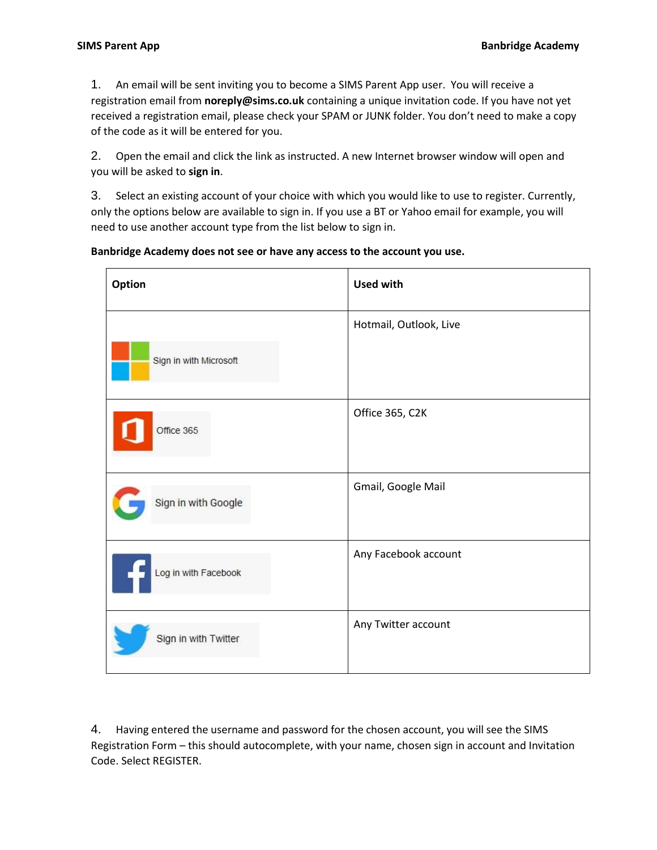1. An email will be sent inviting you to become a SIMS Parent App user. You will receive a registration email from **noreply@sims.co.uk** containing a unique invitation code. If you have not yet received a registration email, please check your SPAM or JUNK folder. You don't need to make a copy of the code as it will be entered for you.

2. Open the email and click the link as instructed. A new Internet browser window will open and you will be asked to **sign in**.

3. Select an existing account of your choice with which you would like to use to register. Currently, only the options below are available to sign in. If you use a BT or Yahoo email for example, you will need to use another account type from the list below to sign in.

## **Banbridge Academy does not see or have any access to the account you use.**

| Option                 | <b>Used with</b>       |
|------------------------|------------------------|
|                        | Hotmail, Outlook, Live |
| Sign in with Microsoft |                        |
| Office 365             | Office 365, C2K        |
| Sign in with Google    | Gmail, Google Mail     |
| Log in with Facebook   | Any Facebook account   |
| Sign in with Twitter   | Any Twitter account    |

4. Having entered the username and password for the chosen account, you will see the SIMS Registration Form – this should autocomplete, with your name, chosen sign in account and Invitation Code. Select REGISTER.